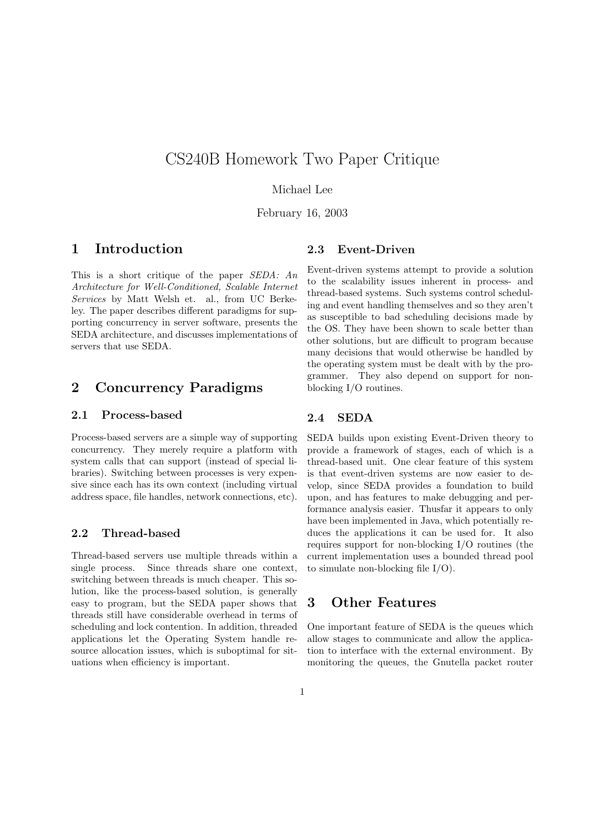# CS240B Homework Two Paper Critique

Michael Lee

February 16, 2003

### 1 Introduction

This is a short critique of the paper SEDA: An Architecture for Well-Conditioned, Scalable Internet Services by Matt Welsh et. al., from UC Berkeley. The paper describes different paradigms for supporting concurrency in server software, presents the SEDA architecture, and discusses implementations of servers that use SEDA.

### 2 Concurrency Paradigms

#### 2.1 Process-based

Process-based servers are a simple way of supporting concurrency. They merely require a platform with system calls that can support (instead of special libraries). Switching between processes is very expensive since each has its own context (including virtual address space, file handles, network connections, etc).

#### 2.2 Thread-based

Thread-based servers use multiple threads within a single process. Since threads share one context, switching between threads is much cheaper. This solution, like the process-based solution, is generally easy to program, but the SEDA paper shows that threads still have considerable overhead in terms of scheduling and lock contention. In addition, threaded applications let the Operating System handle resource allocation issues, which is suboptimal for situations when efficiency is important.

#### 2.3 Event-Driven

Event-driven systems attempt to provide a solution to the scalability issues inherent in process- and thread-based systems. Such systems control scheduling and event handling themselves and so they aren't as susceptible to bad scheduling decisions made by the OS. They have been shown to scale better than other solutions, but are difficult to program because many decisions that would otherwise be handled by the operating system must be dealt with by the programmer. They also depend on support for nonblocking I/O routines.

#### 2.4 SEDA

SEDA builds upon existing Event-Driven theory to provide a framework of stages, each of which is a thread-based unit. One clear feature of this system is that event-driven systems are now easier to develop, since SEDA provides a foundation to build upon, and has features to make debugging and performance analysis easier. Thusfar it appears to only have been implemented in Java, which potentially reduces the applications it can be used for. It also requires support for non-blocking I/O routines (the current implementation uses a bounded thread pool to simulate non-blocking file I/O).

#### 3 Other Features

One important feature of SEDA is the queues which allow stages to communicate and allow the application to interface with the external environment. By monitoring the queues, the Gnutella packet router